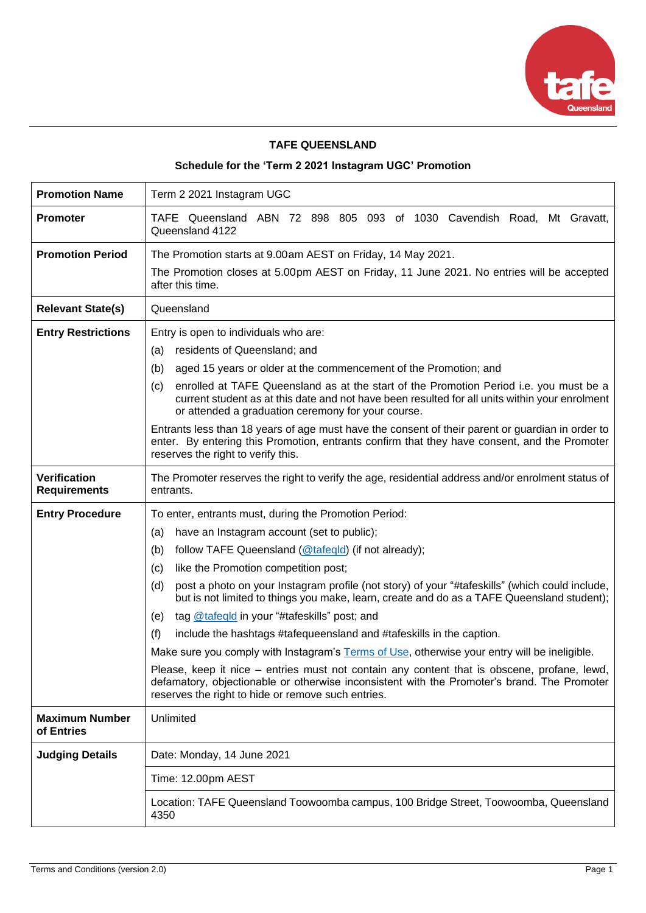

# **TAFE QUEENSLAND**

# **Schedule for the 'Term 2 2021 Instagram UGC' Promotion**

| <b>Promotion Name</b>                      | Term 2 2021 Instagram UGC                                                                                                                                                                                                                                                                                                                                                                                                                                                                                                                                                                                                                                  |  |  |  |  |
|--------------------------------------------|------------------------------------------------------------------------------------------------------------------------------------------------------------------------------------------------------------------------------------------------------------------------------------------------------------------------------------------------------------------------------------------------------------------------------------------------------------------------------------------------------------------------------------------------------------------------------------------------------------------------------------------------------------|--|--|--|--|
| <b>Promoter</b>                            | TAFE Queensland ABN 72 898 805 093 of 1030 Cavendish Road, Mt Gravatt,<br>Queensland 4122                                                                                                                                                                                                                                                                                                                                                                                                                                                                                                                                                                  |  |  |  |  |
| <b>Promotion Period</b>                    | The Promotion starts at 9.00am AEST on Friday, 14 May 2021.<br>The Promotion closes at 5.00pm AEST on Friday, 11 June 2021. No entries will be accepted<br>after this time.                                                                                                                                                                                                                                                                                                                                                                                                                                                                                |  |  |  |  |
| <b>Relevant State(s)</b>                   | Queensland                                                                                                                                                                                                                                                                                                                                                                                                                                                                                                                                                                                                                                                 |  |  |  |  |
| <b>Entry Restrictions</b>                  | Entry is open to individuals who are:<br>residents of Queensland; and<br>(a)<br>aged 15 years or older at the commencement of the Promotion; and<br>(b)<br>enrolled at TAFE Queensland as at the start of the Promotion Period i.e. you must be a<br>(c)<br>current student as at this date and not have been resulted for all units within your enrolment<br>or attended a graduation ceremony for your course.<br>Entrants less than 18 years of age must have the consent of their parent or guardian in order to<br>enter. By entering this Promotion, entrants confirm that they have consent, and the Promoter<br>reserves the right to verify this. |  |  |  |  |
| <b>Verification</b><br><b>Requirements</b> | The Promoter reserves the right to verify the age, residential address and/or enrolment status of<br>entrants.                                                                                                                                                                                                                                                                                                                                                                                                                                                                                                                                             |  |  |  |  |
| <b>Entry Procedure</b>                     | To enter, entrants must, during the Promotion Period:                                                                                                                                                                                                                                                                                                                                                                                                                                                                                                                                                                                                      |  |  |  |  |
|                                            | have an Instagram account (set to public);<br>(a)                                                                                                                                                                                                                                                                                                                                                                                                                                                                                                                                                                                                          |  |  |  |  |
|                                            | follow TAFE Queensland (@tafeqld) (if not already);<br>(b)                                                                                                                                                                                                                                                                                                                                                                                                                                                                                                                                                                                                 |  |  |  |  |
|                                            | like the Promotion competition post;<br>(c)                                                                                                                                                                                                                                                                                                                                                                                                                                                                                                                                                                                                                |  |  |  |  |
|                                            |                                                                                                                                                                                                                                                                                                                                                                                                                                                                                                                                                                                                                                                            |  |  |  |  |
|                                            | post a photo on your Instagram profile (not story) of your "#tafeskills" (which could include,<br>(d)<br>but is not limited to things you make, learn, create and do as a TAFE Queensland student);                                                                                                                                                                                                                                                                                                                                                                                                                                                        |  |  |  |  |
|                                            | tag @tafeqld in your "#tafeskills" post; and<br>(e)                                                                                                                                                                                                                                                                                                                                                                                                                                                                                                                                                                                                        |  |  |  |  |
|                                            | (f)<br>include the hashtags #tafequeensland and #tafeskills in the caption.                                                                                                                                                                                                                                                                                                                                                                                                                                                                                                                                                                                |  |  |  |  |
|                                            | Make sure you comply with Instagram's Terms of Use, otherwise your entry will be ineligible.                                                                                                                                                                                                                                                                                                                                                                                                                                                                                                                                                               |  |  |  |  |
|                                            | Please, keep it nice – entries must not contain any content that is obscene, profane, lewd,<br>defamatory, objectionable or otherwise inconsistent with the Promoter's brand. The Promoter<br>reserves the right to hide or remove such entries.                                                                                                                                                                                                                                                                                                                                                                                                           |  |  |  |  |
| <b>Maximum Number</b><br>of Entries        | Unlimited                                                                                                                                                                                                                                                                                                                                                                                                                                                                                                                                                                                                                                                  |  |  |  |  |
| <b>Judging Details</b>                     | Date: Monday, 14 June 2021                                                                                                                                                                                                                                                                                                                                                                                                                                                                                                                                                                                                                                 |  |  |  |  |
|                                            | Time: 12.00pm AEST                                                                                                                                                                                                                                                                                                                                                                                                                                                                                                                                                                                                                                         |  |  |  |  |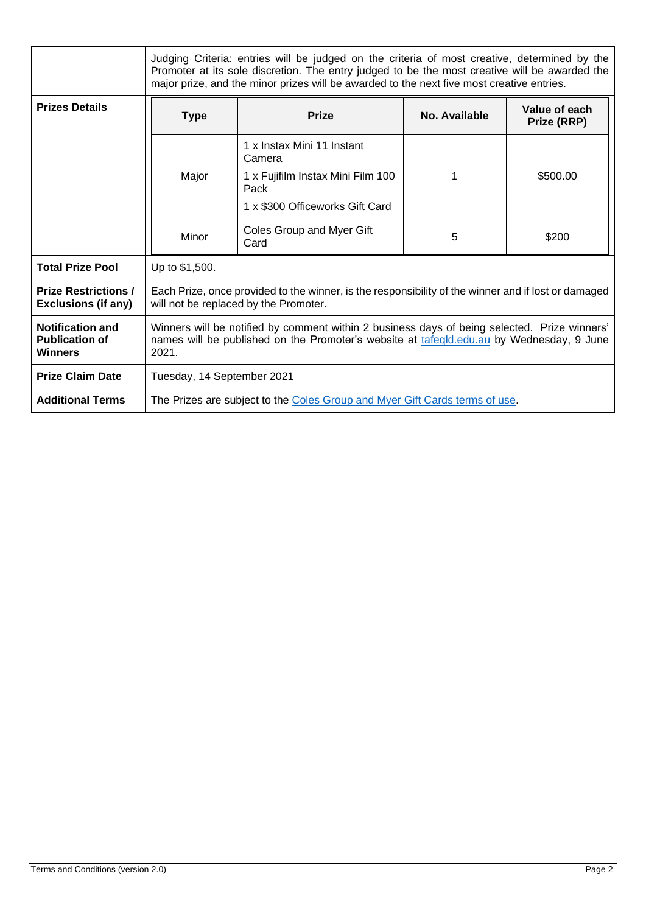|                                                             | Judging Criteria: entries will be judged on the criteria of most creative, determined by the<br>Promoter at its sole discretion. The entry judged to be the most creative will be awarded the<br>major prize, and the minor prizes will be awarded to the next five most creative entries. |                                           |               |                              |  |
|-------------------------------------------------------------|--------------------------------------------------------------------------------------------------------------------------------------------------------------------------------------------------------------------------------------------------------------------------------------------|-------------------------------------------|---------------|------------------------------|--|
| <b>Prizes Details</b>                                       | <b>Type</b>                                                                                                                                                                                                                                                                                | <b>Prize</b>                              | No. Available | Value of each<br>Prize (RRP) |  |
|                                                             |                                                                                                                                                                                                                                                                                            | 1 x Instax Mini 11 Instant<br>Camera      |               |                              |  |
|                                                             | Major                                                                                                                                                                                                                                                                                      | 1 x Fujifilm Instax Mini Film 100<br>Pack | 1             | \$500.00                     |  |
|                                                             |                                                                                                                                                                                                                                                                                            | 1 x \$300 Officeworks Gift Card           |               |                              |  |
|                                                             | Minor                                                                                                                                                                                                                                                                                      | Coles Group and Myer Gift<br>Card         | 5             | \$200                        |  |
| <b>Total Prize Pool</b>                                     | Up to \$1,500.                                                                                                                                                                                                                                                                             |                                           |               |                              |  |
| <b>Prize Restrictions /</b><br><b>Exclusions (if any)</b>   | Each Prize, once provided to the winner, is the responsibility of the winner and if lost or damaged<br>will not be replaced by the Promoter.                                                                                                                                               |                                           |               |                              |  |
| <b>Notification and</b><br><b>Publication of</b><br>Winners | Winners will be notified by comment within 2 business days of being selected. Prize winners'<br>names will be published on the Promoter's website at tafegld.edu.au by Wednesday, 9 June<br>2021.                                                                                          |                                           |               |                              |  |
| <b>Prize Claim Date</b>                                     | Tuesday, 14 September 2021                                                                                                                                                                                                                                                                 |                                           |               |                              |  |
| <b>Additional Terms</b>                                     | The Prizes are subject to the Coles Group and Myer Gift Cards terms of use.                                                                                                                                                                                                                |                                           |               |                              |  |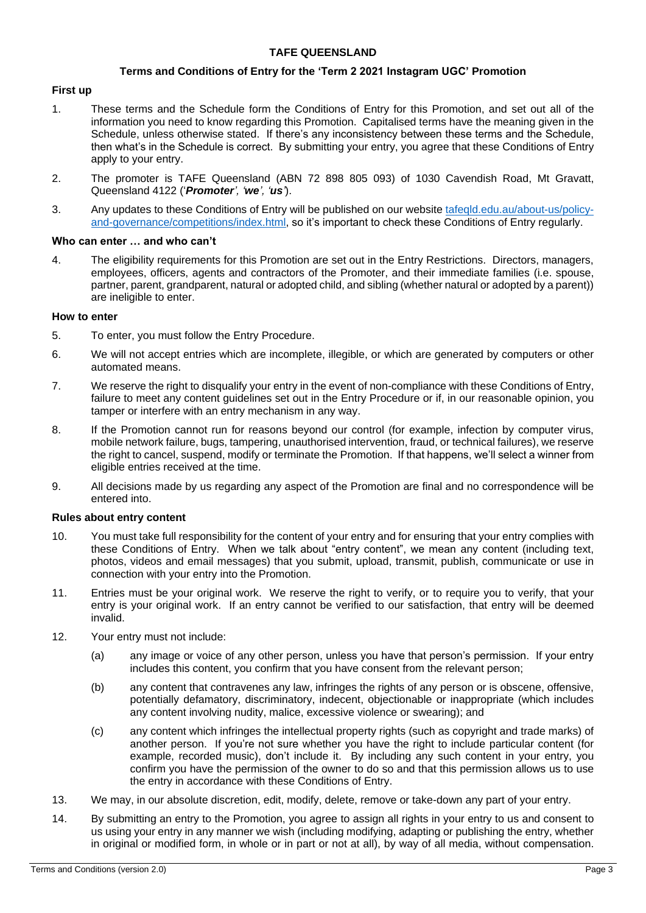# **TAFE QUEENSLAND**

#### **Terms and Conditions of Entry for the 'Term 2 2021 Instagram UGC' Promotion**

## **First up**

- 1. These terms and the Schedule form the Conditions of Entry for this Promotion, and set out all of the information you need to know regarding this Promotion. Capitalised terms have the meaning given in the Schedule, unless otherwise stated. If there's any inconsistency between these terms and the Schedule, then what's in the Schedule is correct. By submitting your entry, you agree that these Conditions of Entry apply to your entry.
- 2. The promoter is TAFE Queensland (ABN 72 898 805 093) of 1030 Cavendish Road, Mt Gravatt, Queensland 4122 ('*Promoter', 'we', 'us'*).
- 3. Any updates to these Conditions of Entry will be published on our website [tafeqld.edu.au/about-us/policy](https://tafeqld.edu.au/about-us/policy-and-governance/competitions/index.html)[and-governance/competitions/index.html,](https://tafeqld.edu.au/about-us/policy-and-governance/competitions/index.html) so it's important to check these Conditions of Entry regularly.

#### **Who can enter … and who can't**

4. The eligibility requirements for this Promotion are set out in the Entry Restrictions. Directors, managers, employees, officers, agents and contractors of the Promoter, and their immediate families (i.e. spouse, partner, parent, grandparent, natural or adopted child, and sibling (whether natural or adopted by a parent)) are ineligible to enter.

#### **How to enter**

- 5. To enter, you must follow the Entry Procedure.
- 6. We will not accept entries which are incomplete, illegible, or which are generated by computers or other automated means.
- 7. We reserve the right to disqualify your entry in the event of non-compliance with these Conditions of Entry, failure to meet any content guidelines set out in the Entry Procedure or if, in our reasonable opinion, you tamper or interfere with an entry mechanism in any way.
- 8. If the Promotion cannot run for reasons beyond our control (for example, infection by computer virus, mobile network failure, bugs, tampering, unauthorised intervention, fraud, or technical failures), we reserve the right to cancel, suspend, modify or terminate the Promotion. If that happens, we'll select a winner from eligible entries received at the time.
- 9. All decisions made by us regarding any aspect of the Promotion are final and no correspondence will be entered into.

#### **Rules about entry content**

- 10. You must take full responsibility for the content of your entry and for ensuring that your entry complies with these Conditions of Entry. When we talk about "entry content", we mean any content (including text, photos, videos and email messages) that you submit, upload, transmit, publish, communicate or use in connection with your entry into the Promotion.
- 11. Entries must be your original work. We reserve the right to verify, or to require you to verify, that your entry is your original work. If an entry cannot be verified to our satisfaction, that entry will be deemed invalid.
- 12. Your entry must not include:
	- (a) any image or voice of any other person, unless you have that person's permission. If your entry includes this content, you confirm that you have consent from the relevant person;
	- (b) any content that contravenes any law, infringes the rights of any person or is obscene, offensive, potentially defamatory, discriminatory, indecent, objectionable or inappropriate (which includes any content involving nudity, malice, excessive violence or swearing); and
	- (c) any content which infringes the intellectual property rights (such as copyright and trade marks) of another person. If you're not sure whether you have the right to include particular content (for example, recorded music), don't include it. By including any such content in your entry, you confirm you have the permission of the owner to do so and that this permission allows us to use the entry in accordance with these Conditions of Entry.
- 13. We may, in our absolute discretion, edit, modify, delete, remove or take-down any part of your entry.
- 14. By submitting an entry to the Promotion, you agree to assign all rights in your entry to us and consent to us using your entry in any manner we wish (including modifying, adapting or publishing the entry, whether in original or modified form, in whole or in part or not at all), by way of all media, without compensation.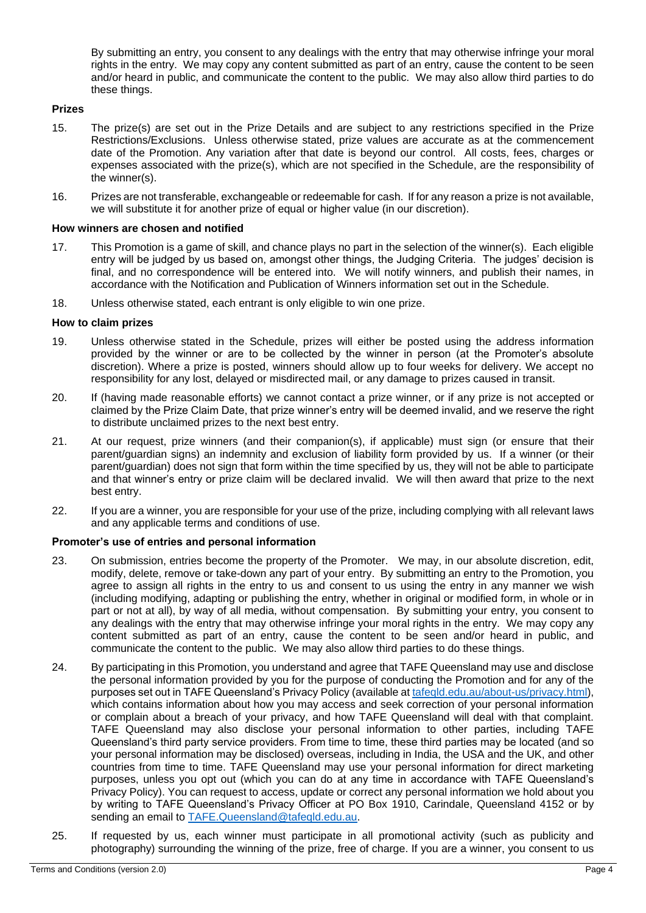By submitting an entry, you consent to any dealings with the entry that may otherwise infringe your moral rights in the entry. We may copy any content submitted as part of an entry, cause the content to be seen and/or heard in public, and communicate the content to the public. We may also allow third parties to do these things.

# **Prizes**

- 15. The prize(s) are set out in the Prize Details and are subject to any restrictions specified in the Prize Restrictions/Exclusions. Unless otherwise stated, prize values are accurate as at the commencement date of the Promotion. Any variation after that date is beyond our control. All costs, fees, charges or expenses associated with the prize(s), which are not specified in the Schedule, are the responsibility of the winner(s).
- 16. Prizes are not transferable, exchangeable or redeemable for cash. If for any reason a prize is not available, we will substitute it for another prize of equal or higher value (in our discretion).

#### **How winners are chosen and notified**

- 17. This Promotion is a game of skill, and chance plays no part in the selection of the winner(s). Each eligible entry will be judged by us based on, amongst other things, the Judging Criteria. The judges' decision is final, and no correspondence will be entered into. We will notify winners, and publish their names, in accordance with the Notification and Publication of Winners information set out in the Schedule.
- 18. Unless otherwise stated, each entrant is only eligible to win one prize.

#### **How to claim prizes**

- 19. Unless otherwise stated in the Schedule, prizes will either be posted using the address information provided by the winner or are to be collected by the winner in person (at the Promoter's absolute discretion). Where a prize is posted, winners should allow up to four weeks for delivery. We accept no responsibility for any lost, delayed or misdirected mail, or any damage to prizes caused in transit.
- 20. If (having made reasonable efforts) we cannot contact a prize winner, or if any prize is not accepted or claimed by the Prize Claim Date, that prize winner's entry will be deemed invalid, and we reserve the right to distribute unclaimed prizes to the next best entry.
- 21. At our request, prize winners (and their companion(s), if applicable) must sign (or ensure that their parent/guardian signs) an indemnity and exclusion of liability form provided by us. If a winner (or their parent/guardian) does not sign that form within the time specified by us, they will not be able to participate and that winner's entry or prize claim will be declared invalid. We will then award that prize to the next best entry.
- 22. If you are a winner, you are responsible for your use of the prize, including complying with all relevant laws and any applicable terms and conditions of use.

# **Promoter's use of entries and personal information**

- 23. On submission, entries become the property of the Promoter. We may, in our absolute discretion, edit, modify, delete, remove or take-down any part of your entry. By submitting an entry to the Promotion, you agree to assign all rights in the entry to us and consent to us using the entry in any manner we wish (including modifying, adapting or publishing the entry, whether in original or modified form, in whole or in part or not at all), by way of all media, without compensation. By submitting your entry, you consent to any dealings with the entry that may otherwise infringe your moral rights in the entry. We may copy any content submitted as part of an entry, cause the content to be seen and/or heard in public, and communicate the content to the public. We may also allow third parties to do these things.
- 24. By participating in this Promotion, you understand and agree that TAFE Queensland may use and disclose the personal information provided by you for the purpose of conducting the Promotion and for any of the purposes set out in TAFE Queensland's Privacy Policy (available at [tafeqld.edu.au/about-us/privacy.html\)](http://tafeqld.edu.au/about-us/privacy.html), which contains information about how you may access and seek correction of your personal information or complain about a breach of your privacy, and how TAFE Queensland will deal with that complaint. TAFE Queensland may also disclose your personal information to other parties, including TAFE Queensland's third party service providers. From time to time, these third parties may be located (and so your personal information may be disclosed) overseas, including in India, the USA and the UK, and other countries from time to time. TAFE Queensland may use your personal information for direct marketing purposes, unless you opt out (which you can do at any time in accordance with TAFE Queensland's Privacy Policy). You can request to access, update or correct any personal information we hold about you by writing to TAFE Queensland's Privacy Officer at PO Box 1910, Carindale, Queensland 4152 or by sending an email to [TAFE.Queensland@tafeqld.edu.au.](mailto:TAFE.Queensland@tafeqld.edu.au)
- 25. If requested by us, each winner must participate in all promotional activity (such as publicity and photography) surrounding the winning of the prize, free of charge. If you are a winner, you consent to us